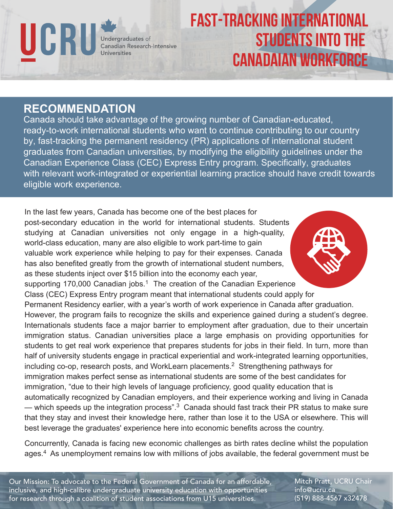

## FAST-TRACKING INTERNATIONAL STUDENTS INTO THE CANADAIAN WORKFORCE

## **RECOMMENDATION**

Canada should take advantage of the growing number of Canadian-educated, ready-to-work international students who want to continue contributing to our country by, fast-tracking the permanent residency (PR) applications of international student graduates from Canadian universities, by modifying the eligibility guidelines under the Canadian Experience Class (CEC) Express Entry program. Specifically, graduates with relevant work-integrated or experiential learning practice should have credit towards eligible work experience.

In the last few years, Canada has become one of the best places for post-secondary education in the world for international students. Students studying at Canadian universities not only engage in a high-quality, world-class education, many are also eligible to work part-time to gain valuable work experience while helping to pay for their expenses. Canada has also benefited greatly from the growth of international student numbers, as these students inject over \$15 billion into the economy each year, supporting 170,000 Canadian jobs.<sup>1</sup> The creation of the Canadian Experience Class (CEC) Express Entry program meant that international students could apply for Permanent Residency earlier, with a year's worth of work experience in Canada after graduation. However, the program fails to recognize the skills and experience gained during a student's degree. Internationals students face a major barrier to employment after graduation, due to their uncertain immigration status. Canadian universities place a large emphasis on providing opportunities for students to get real work experience that prepares students for jobs in their field. In turn, more than half of university students engage in practical experiential and work-integrated learning opportunities, including co-op, research posts, and WorkLearn placements.<sup>2</sup> Strengthening pathways for immigration makes perfect sense as international students are some of the best candidates for immigration, "due to their high levels of language proficiency, good quality education that is automatically recognized by Canadian employers, and their experience working and living in Canada — which speeds up the integration process".<sup>3</sup> Canada should fast track their PR status to make sure that they stay and invest their knowledge here, rather than lose it to the USA or elsewhere. This will best leverage the graduates' experience here into economic benefits across the country.

Concurrently, Canada is facing new economic challenges as birth rates decline whilst the population ages.<sup>4</sup> As unemployment remains low with millions of jobs available, the federal government must be

Our Mission: To advocate to the Federal Government of Canada for an affordable, inclusive, and high-calibre undergraduate university education with opportunities for research through a coalition of student associations from U15 universities.

Mitch Pratt, UCRU Chair info@ucru.ca (519) 888-4567 x32478